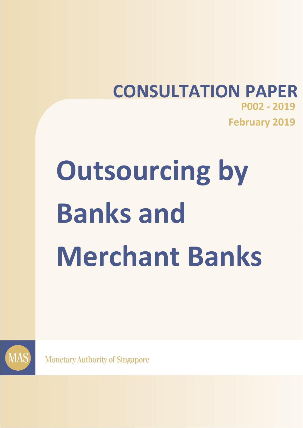## **CONSULTATION PAPER P002 - 2019 February 2019**

# **Outsourcing by Banks and Merchant Banks**



**Monetary Authority of Singapore**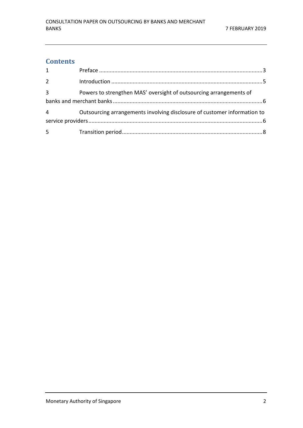#### **Contents**

| $\mathbf{1}$   |                                                                          |
|----------------|--------------------------------------------------------------------------|
| $\overline{2}$ |                                                                          |
| $\overline{3}$ | Powers to strengthen MAS' oversight of outsourcing arrangements of       |
| $\overline{4}$ | Outsourcing arrangements involving disclosure of customer information to |
|                |                                                                          |
| 5              |                                                                          |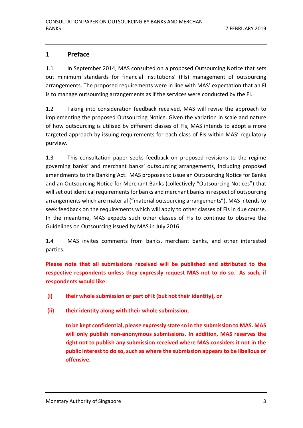#### <span id="page-2-0"></span>**1 Preface**

1.1 In September 2014, MAS consulted on a proposed Outsourcing Notice that sets out minimum standards for financial institutions' (FIs) management of outsourcing arrangements. The proposed requirements were in line with MAS' expectation that an FI is to manage outsourcing arrangements as if the services were conducted by the FI.

1.2 Taking into consideration feedback received, MAS will revise the approach to implementing the proposed Outsourcing Notice. Given the variation in scale and nature of how outsourcing is utilised by different classes of FIs, MAS intends to adopt a more targeted approach by issuing requirements for each class of FIs within MAS' regulatory purview.

1.3 This consultation paper seeks feedback on proposed revisions to the regime governing banks' and merchant banks' outsourcing arrangements, including proposed amendments to the Banking Act. MAS proposes to issue an Outsourcing Notice for Banks and an Outsourcing Notice for Merchant Banks (collectively "Outsourcing Notices") that willset out identical requirements for banks and merchant banksin respect of outsourcing arrangements which are material ("material outsourcing arrangements"). MAS intends to seek feedback on the requirements which will apply to other classes of FIs in due course. In the meantime, MAS expects such other classes of FIs to continue to observe the Guidelines on Outsourcing issued by MAS in July 2016.

1.4 MAS invites comments from banks, merchant banks, and other interested parties.

**Please note that all submissions received will be published and attributed to the respective respondents unless they expressly request MAS not to do so. As such, if respondents would like:**

- **(i) their whole submission or part of it (but not their identity), or**
- **(ii) their identity along with their whole submission,**

**to be kept confidential, please expressly state so in the submission to MAS. MAS will only publish non-anonymous submissions. In addition, MAS reserves the right not to publish any submission received where MAS considers it not in the public interest to do so, such as where the submission appears to be libellous or offensive.**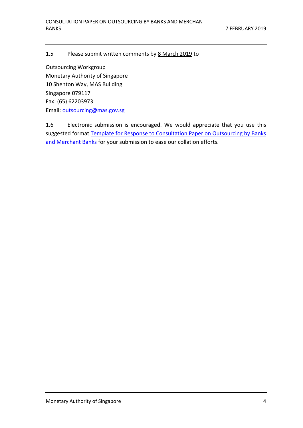#### 1.5 Please submit written comments by 8 March 2019 to –

Outsourcing Workgroup Monetary Authority of Singapore 10 Shenton Way, MAS Building Singapore 079117 Fax: (65) 62203973 Email: [outsourcing@mas.gov.sg](mailto:outsourcing@mas.gov.sg)

1.6 Electronic submission is encouraged. We would appreciate that you use this suggested format [Template for Response to Consultation Paper on Outsourcing by Banks](http://www.mas.gov.sg/~/media/MAS/News%20and%20Publications/Consultation%20Papers/2019%20Feb%20Outsourcing%20by%20Banks%20and%20Merchant%20Banks/Template%20for%20Response%20to%20Consultation%20Paper%20on%20Outsourcing%20by%20Banks%20and%20Merchant%20Banks.docx)  [and Merchant Banks](http://www.mas.gov.sg/~/media/MAS/News%20and%20Publications/Consultation%20Papers/2019%20Feb%20Outsourcing%20by%20Banks%20and%20Merchant%20Banks/Template%20for%20Response%20to%20Consultation%20Paper%20on%20Outsourcing%20by%20Banks%20and%20Merchant%20Banks.docx) for your submission to ease our collation efforts.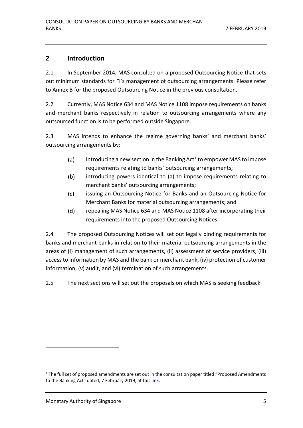#### <span id="page-4-0"></span>**2 Introduction**

2.1 In September 2014, MAS consulted on a proposed Outsourcing Notice that sets out minimum standards for FI's management of outsourcing arrangements. Please refer to Annex B for the proposed Outsourcing Notice in the previous consultation.

2.2 Currently, MAS Notice 634 and MAS Notice 1108 impose requirements on banks and merchant banks respectively in relation to outsourcing arrangements where any outsourced function is to be performed outside Singapore.

2.3 MAS intends to enhance the regime governing banks' and merchant banks' outsourcing arrangements by:

- $(a)$ introducing a new section in the Banking Act $^1$  to empower MAS to impose requirements relating to banks' outsourcing arrangements;
- $(b)$ introducing powers identical to (a) to impose requirements relating to merchant banks' outsourcing arrangements;
- $(c)$ issuing an Outsourcing Notice for Banks and an Outsourcing Notice for Merchant Banks for material outsourcing arrangements; and
- $(d)$ repealing MAS Notice 634 and MAS Notice 1108 after incorporating their requirements into the proposed Outsourcing Notices.

2.4 The proposed Outsourcing Notices will set out legally binding requirements for banks and merchant banks in relation to their material outsourcing arrangements in the areas of (i) management of such arrangements, (ii) assessment of service providers, (iii) access to information by MAS and the bank or merchant bank, (iv) protection of customer information, (v) audit, and (vi) termination of such arrangements.

2.5 The next sections will set out the proposals on which MAS is seeking feedback.

1

<sup>&</sup>lt;sup>1</sup> The full set of proposed amendments are set out in the consultation paper titled "Proposed Amendments" to the Banking Act" dated, 7 February 2019, at this *link*.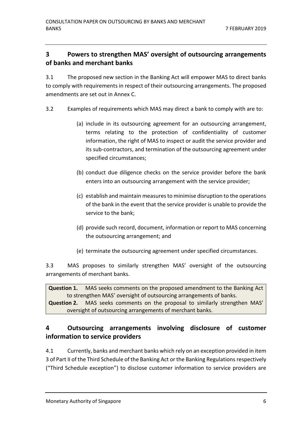#### <span id="page-5-0"></span>**3 Powers to strengthen MAS' oversight of outsourcing arrangements of banks and merchant banks**

3.1 The proposed new section in the Banking Act will empower MAS to direct banks to comply with requirements in respect of their outsourcing arrangements. The proposed amendments are set out in Annex C.

- 3.2 Examples of requirements which MAS may direct a bank to comply with are to:
	- (a) include in its outsourcing agreement for an outsourcing arrangement, terms relating to the protection of confidentiality of customer information, the right of MAS to inspect or audit the service provider and its sub-contractors, and termination of the outsourcing agreement under specified circumstances;
	- (b) conduct due diligence checks on the service provider before the bank enters into an outsourcing arrangement with the service provider;
	- (c) establish and maintain measures to minimise disruption to the operations of the bank in the event that the service provider is unable to provide the service to the bank;
	- (d) provide such record, document, information or report to MAS concerning the outsourcing arrangement; and
	- (e) terminate the outsourcing agreement under specified circumstances.

3.3 MAS proposes to similarly strengthen MAS' oversight of the outsourcing arrangements of merchant banks.

<span id="page-5-3"></span><span id="page-5-2"></span>**Question 1.** MAS seeks comments on the proposed amendment to the Banking Act to strengthen MAS' oversight of outsourcing arrangements of banks. **Question 2.** MAS seeks comments on the proposal to similarly strengthen MAS' oversight of outsourcing arrangements of merchant banks.

### <span id="page-5-1"></span>**4 Outsourcing arrangements involving disclosure of customer information to service providers**

4.1 Currently, banks and merchant banks which rely on an exception provided in item 3 of Part II of the Third Schedule of the Banking Act or the Banking Regulations respectively ("Third Schedule exception") to disclose customer information to service providers are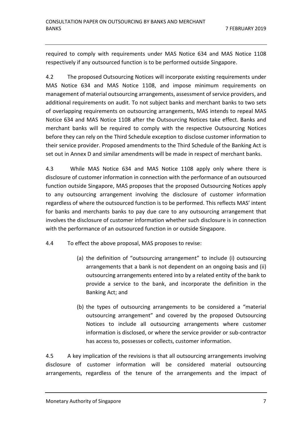required to comply with requirements under MAS Notice 634 and MAS Notice 1108 respectively if any outsourced function is to be performed outside Singapore.

4.2 The proposed Outsourcing Notices will incorporate existing requirements under MAS Notice 634 and MAS Notice 1108, and impose minimum requirements on management of material outsourcing arrangements, assessment of service providers, and additional requirements on audit. To not subject banks and merchant banks to two sets of overlapping requirements on outsourcing arrangements, MAS intends to repeal MAS Notice 634 and MAS Notice 1108 after the Outsourcing Notices take effect. Banks and merchant banks will be required to comply with the respective Outsourcing Notices before they can rely on the Third Schedule exception to disclose customer information to their service provider. Proposed amendments to the Third Schedule of the Banking Act is set out in Annex D and similar amendments will be made in respect of merchant banks.

4.3 While MAS Notice 634 and MAS Notice 1108 apply only where there is disclosure of customer information in connection with the performance of an outsourced function outside Singapore, MAS proposes that the proposed Outsourcing Notices apply to any outsourcing arrangement involving the disclosure of customer information regardless of where the outsourced function is to be performed. This reflects MAS' intent for banks and merchants banks to pay due care to any outsourcing arrangement that involves the disclosure of customer information whether such disclosure is in connection with the performance of an outsourced function in or outside Singapore.

4.4 To effect the above proposal, MAS proposes to revise:

- (a) the definition of "outsourcing arrangement" to include (i) outsourcing arrangements that a bank is not dependent on an ongoing basis and (ii) outsourcing arrangements entered into by a related entity of the bank to provide a service to the bank, and incorporate the definition in the Banking Act; and
- (b) the types of outsourcing arrangements to be considered a "material outsourcing arrangement" and covered by the proposed Outsourcing Notices to include all outsourcing arrangements where customer information is disclosed, or where the service provider or sub-contractor has access to, possesses or collects, customer information.

4.5 A key implication of the revisions is that all outsourcing arrangements involving disclosure of customer information will be considered material outsourcing arrangements, regardless of the tenure of the arrangements and the impact of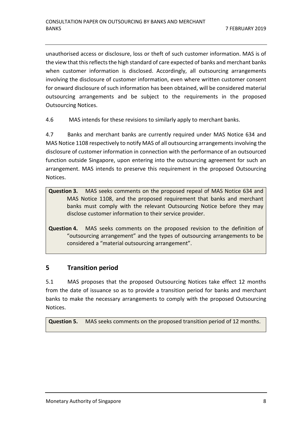unauthorised access or disclosure, loss or theft of such customer information. MAS is of the view that this reflects the high standard of care expected of banks and merchant banks when customer information is disclosed. Accordingly, all outsourcing arrangements involving the disclosure of customer information, even where written customer consent for onward disclosure of such information has been obtained, will be considered material outsourcing arrangements and be subject to the requirements in the proposed Outsourcing Notices.

4.6 MAS intends for these revisions to similarly apply to merchant banks.

4.7 Banks and merchant banks are currently required under MAS Notice 634 and MAS Notice 1108 respectively to notify MAS of all outsourcing arrangements involving the disclosure of customer information in connection with the performance of an outsourced function outside Singapore, upon entering into the outsourcing agreement for such an arrangement. MAS intends to preserve this requirement in the proposed Outsourcing Notices.

- <span id="page-7-1"></span>**Question 3.** MAS seeks comments on the proposed repeal of MAS Notice 634 and MAS Notice 1108, and the proposed requirement that banks and merchant banks must comply with the relevant Outsourcing Notice before they may disclose customer information to their service provider.
- <span id="page-7-2"></span>**Question 4.** MAS seeks comments on the proposed revision to the definition of "outsourcing arrangement" and the types of outsourcing arrangements to be considered a "material outsourcing arrangement".

### <span id="page-7-0"></span>**5 Transition period**

5.1 MAS proposes that the proposed Outsourcing Notices take effect 12 months from the date of issuance so as to provide a transition period for banks and merchant banks to make the necessary arrangements to comply with the proposed Outsourcing Notices.

<span id="page-7-3"></span>**Question 5.** MAS seeks comments on the proposed transition period of 12 months.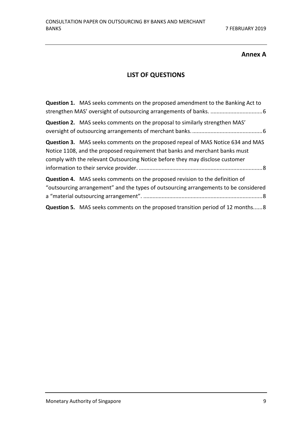#### **Annex A**

#### **LIST OF QUESTIONS**

| <b>Question 1.</b> MAS seeks comments on the proposed amendment to the Banking Act to                                                                                                                                                                   |
|---------------------------------------------------------------------------------------------------------------------------------------------------------------------------------------------------------------------------------------------------------|
| Question 2. MAS seeks comments on the proposal to similarly strengthen MAS'                                                                                                                                                                             |
| <b>Question 3.</b> MAS seeks comments on the proposed repeal of MAS Notice 634 and MAS<br>Notice 1108, and the proposed requirement that banks and merchant banks must<br>comply with the relevant Outsourcing Notice before they may disclose customer |
| <b>Question 4.</b> MAS seeks comments on the proposed revision to the definition of<br>"outsourcing arrangement" and the types of outsourcing arrangements to be considered                                                                             |
| <b>Question 5.</b> MAS seeks comments on the proposed transition period of 12 months8                                                                                                                                                                   |